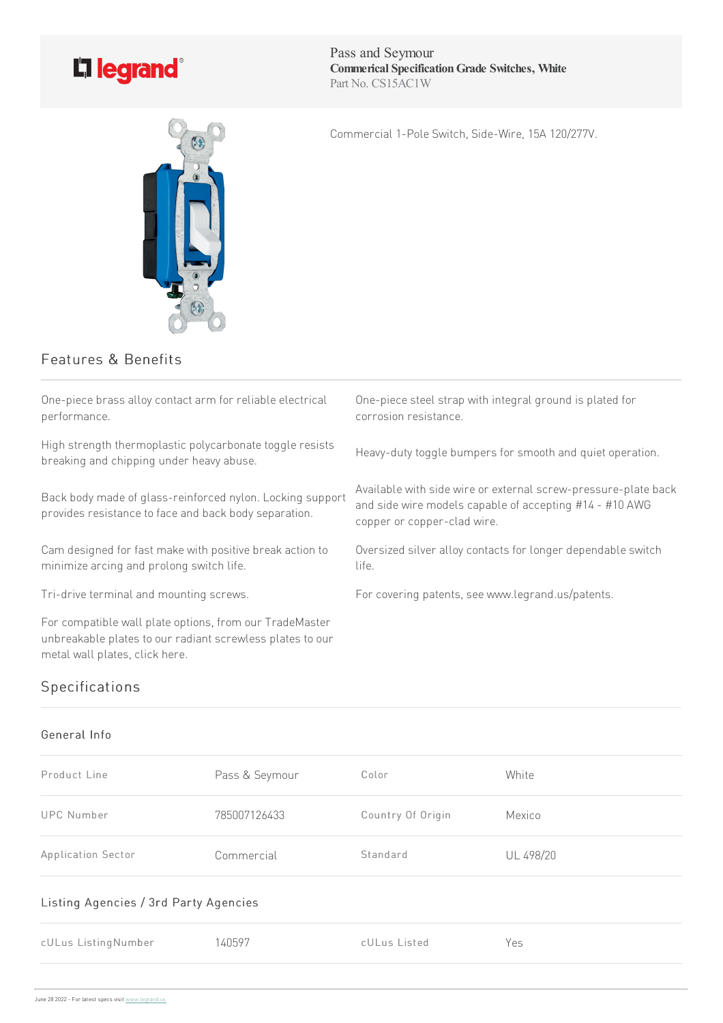

Pass and Seymour **Commerical SpecificationGrade Switches, White** Part No. CS15AC1W

Commercial 1-Pole Switch, Side-Wire, 15A 120/277V.



## Features & Benefits

One-piece brass alloy contact arm for reliable electrical performance.

High strength thermoplastic polycarbonate toggle resists breaking and chipping under heavy abuse.

Back body made of glass-reinforced nylon. Locking support provides resistance to face and back body separation.

Cam designed for fast make with positive break action to minimize arcing and prolong switch life.

For compatible wall plate options, from our TradeMaster unbreakable plates to our radiant screwless plates to our metal wall plates, click here.

One-piece steel strap with integral ground is plated for corrosion resistance.

Heavy-duty toggle bumpers for smooth and quiet operation.

Available with side wire or external screw-pressure-plate back and side wire models capable of accepting #14 - #10 AWG copper or copper-clad wire.

Oversized silver alloy contacts for longer dependable switch life.

Tri-drive terminal and mounting screws. For covering patents, see www.legrand.us/patents.

## Specifications

## General Info

| Product Line                          | Pass & Seymour | Color             | White     |  |  |
|---------------------------------------|----------------|-------------------|-----------|--|--|
| UPC Number                            | 785007126433   | Country Of Origin | Mexico    |  |  |
| Application Sector                    | Commercial     | Standard          | UL 498/20 |  |  |
| Listing Agencies / 3rd Party Agencies |                |                   |           |  |  |
| cULus ListingNumber                   | 140597         | cULus Listed      | Yes       |  |  |
|                                       |                |                   |           |  |  |